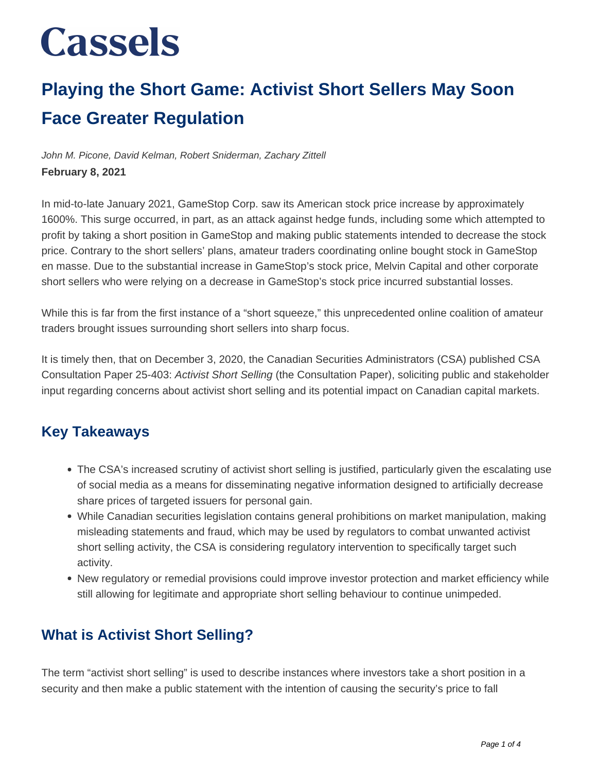### **Playing the Short Game: Activist Short Sellers May Soon Face Greater Regulation**

John M. Picone, David Kelman, Robert Sniderman, Zachary Zittell **February 8, 2021**

In mid-to-late January 2021, GameStop Corp. saw its American stock price increase by approximately 1600%. This surge occurred, in part, as an attack against hedge funds, including some which attempted to profit by taking a short position in GameStop and making public statements intended to decrease the stock price. Contrary to the short sellers' plans, amateur traders coordinating online bought stock in GameStop en masse. Due to the substantial increase in GameStop's stock price, Melvin Capital and other corporate short sellers who were relying on a decrease in GameStop's stock price incurred substantial losses.

While this is far from the first instance of a "short squeeze," this unprecedented online coalition of amateur traders brought issues surrounding short sellers into sharp focus.

It is timely then, that on December 3, 2020, the Canadian Securities Administrators (CSA) published CSA Consultation Paper 25-403: Activist Short Selling (the Consultation Paper), soliciting public and stakeholder input regarding concerns about activist short selling and its potential impact on Canadian capital markets.

#### **Key Takeaways**

- The CSA's increased scrutiny of activist short selling is justified, particularly given the escalating use of social media as a means for disseminating negative information designed to artificially decrease share prices of targeted issuers for personal gain.
- While Canadian securities legislation contains general prohibitions on market manipulation, making misleading statements and fraud, which may be used by regulators to combat unwanted activist short selling activity, the CSA is considering regulatory intervention to specifically target such activity.
- New regulatory or remedial provisions could improve investor protection and market efficiency while still allowing for legitimate and appropriate short selling behaviour to continue unimpeded.

#### **What is Activist Short Selling?**

The term "activist short selling" is used to describe instances where investors take a short position in a security and then make a public statement with the intention of causing the security's price to fall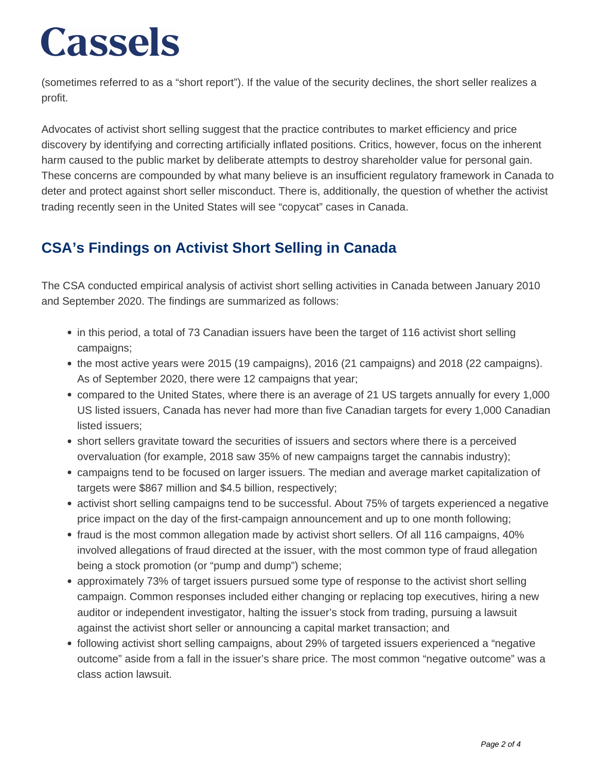(sometimes referred to as a "short report"). If the value of the security declines, the short seller realizes a profit.

Advocates of activist short selling suggest that the practice contributes to market efficiency and price discovery by identifying and correcting artificially inflated positions. Critics, however, focus on the inherent harm caused to the public market by deliberate attempts to destroy shareholder value for personal gain. These concerns are compounded by what many believe is an insufficient regulatory framework in Canada to deter and protect against short seller misconduct. There is, additionally, the question of whether the activist trading recently seen in the United States will see "copycat" cases in Canada.

### **CSA's Findings on Activist Short Selling in Canada**

The CSA conducted empirical analysis of activist short selling activities in Canada between January 2010 and September 2020. The findings are summarized as follows:

- in this period, a total of 73 Canadian issuers have been the target of 116 activist short selling campaigns;
- the most active years were 2015 (19 campaigns), 2016 (21 campaigns) and 2018 (22 campaigns). As of September 2020, there were 12 campaigns that year;
- compared to the United States, where there is an average of 21 US targets annually for every 1,000 US listed issuers, Canada has never had more than five Canadian targets for every 1,000 Canadian listed issuers;
- short sellers gravitate toward the securities of issuers and sectors where there is a perceived overvaluation (for example, 2018 saw 35% of new campaigns target the cannabis industry);
- campaigns tend to be focused on larger issuers. The median and average market capitalization of targets were \$867 million and \$4.5 billion, respectively;
- activist short selling campaigns tend to be successful. About 75% of targets experienced a negative price impact on the day of the first-campaign announcement and up to one month following;
- fraud is the most common allegation made by activist short sellers. Of all 116 campaigns, 40% involved allegations of fraud directed at the issuer, with the most common type of fraud allegation being a stock promotion (or "pump and dump") scheme;
- approximately 73% of target issuers pursued some type of response to the activist short selling campaign. Common responses included either changing or replacing top executives, hiring a new auditor or independent investigator, halting the issuer's stock from trading, pursuing a lawsuit against the activist short seller or announcing a capital market transaction; and
- following activist short selling campaigns, about 29% of targeted issuers experienced a "negative outcome" aside from a fall in the issuer's share price. The most common "negative outcome" was a class action lawsuit.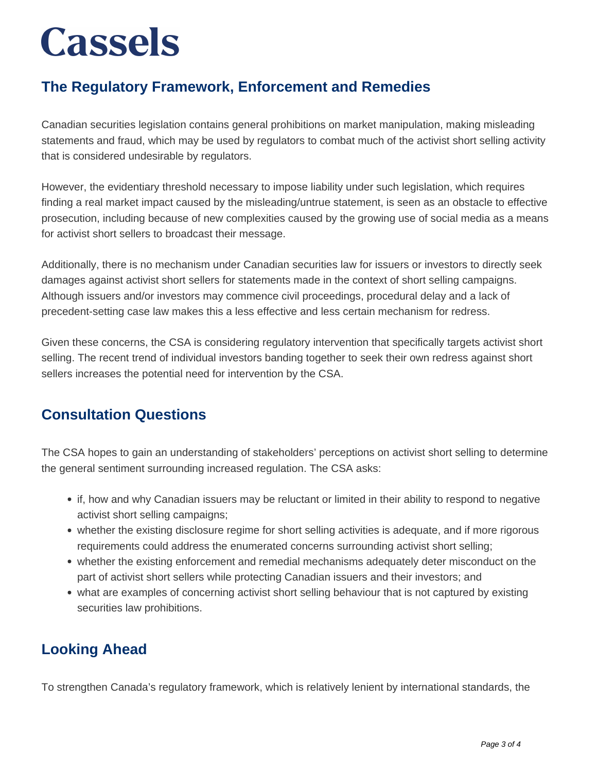### **The Regulatory Framework, Enforcement and Remedies**

Canadian securities legislation contains general prohibitions on market manipulation, making misleading statements and fraud, which may be used by regulators to combat much of the activist short selling activity that is considered undesirable by regulators.

However, the evidentiary threshold necessary to impose liability under such legislation, which requires finding a real market impact caused by the misleading/untrue statement, is seen as an obstacle to effective prosecution, including because of new complexities caused by the growing use of social media as a means for activist short sellers to broadcast their message.

Additionally, there is no mechanism under Canadian securities law for issuers or investors to directly seek damages against activist short sellers for statements made in the context of short selling campaigns. Although issuers and/or investors may commence civil proceedings, procedural delay and a lack of precedent-setting case law makes this a less effective and less certain mechanism for redress.

Given these concerns, the CSA is considering regulatory intervention that specifically targets activist short selling. The recent trend of individual investors banding together to seek their own redress against short sellers increases the potential need for intervention by the CSA.

#### **Consultation Questions**

The CSA hopes to gain an understanding of stakeholders' perceptions on activist short selling to determine the general sentiment surrounding increased regulation. The CSA asks:

- if, how and why Canadian issuers may be reluctant or limited in their ability to respond to negative activist short selling campaigns;
- whether the existing disclosure regime for short selling activities is adequate, and if more rigorous requirements could address the enumerated concerns surrounding activist short selling;
- whether the existing enforcement and remedial mechanisms adequately deter misconduct on the part of activist short sellers while protecting Canadian issuers and their investors; and
- what are examples of concerning activist short selling behaviour that is not captured by existing securities law prohibitions.

#### **Looking Ahead**

To strengthen Canada's regulatory framework, which is relatively lenient by international standards, the